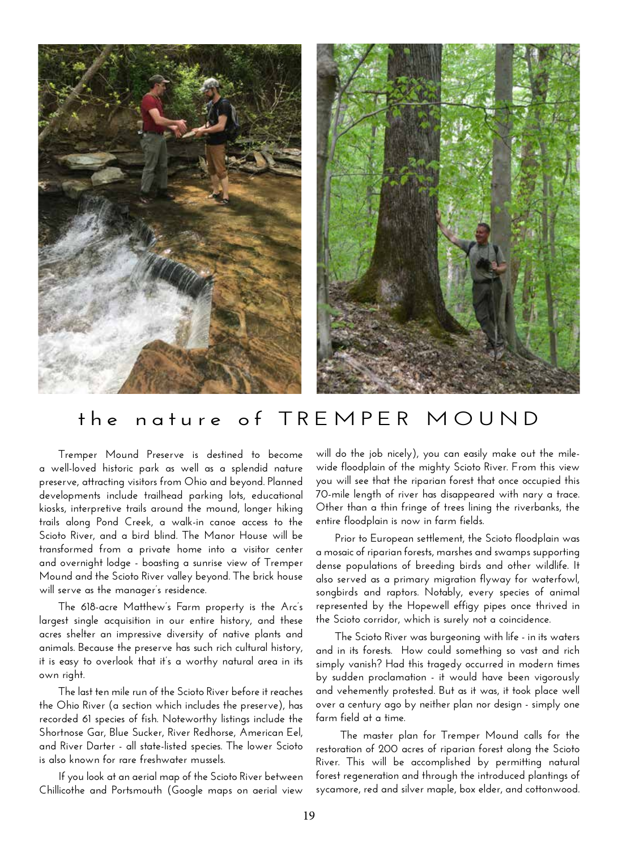

## **the nature of TREMPER MOUND**

**Tremper Mound Preserve is destined to become a well-loved historic park as well as a splendid nature preserve, attracting visitors from Ohio and beyond. Planned developments include trailhead parking lots, educational kiosks, interpretive trails around the mound, longer hiking trails along Pond Creek, a walk-in canoe access to the Scioto River, and a bird blind. The Manor House will be transformed from a private home into a visitor center and overnight lodge - boasting a sunrise view of Tremper Mound and the Scioto River valley beyond. The brick house will serve as the manager's residence.**

**The 618-acre Matthew's Farm property is the Arc's largest single acquisition in our entire history, and these acres shelter an impressive diversity of native plants and animals. Because the preserve has such rich cultural history, it is easy to overlook that it's a worthy natural area in its own right.** 

**The last ten mile run of the Scioto River before it reaches the Ohio River (a section which includes the preserve), has recorded 61 species of fish. Noteworthy listings include the Shortnose Gar, Blue Sucker, River Redhorse, American Eel, and River Darter - all state-listed species. The lower Scioto is also known for rare freshwater mussels.**

**If you look at an aerial map of the Scioto River between Chillicothe and Portsmouth (Google maps on aerial view** 

**will do the job nicely), you can easily make out the milewide floodplain of the mighty Scioto River. From this view you will see that the riparian forest that once occupied this 70-mile length of river has disappeared with nary a trace. Other than a thin fringe of trees lining the riverbanks, the entire floodplain is now in farm fields.**

**Prior to European settlement, the Scioto floodplain was a mosaic of riparian forests, marshes and swamps supporting dense populations of breeding birds and other wildlife. It also served as a primary migration flyway for waterfowl, songbirds and raptors. Notably, every species of animal represented by the Hopewell effigy pipes once thrived in the Scioto corridor, which is surely not a coincidence.** 

**The Scioto River was burgeoning with life - in its waters and in its forests. How could something so vast and rich simply vanish? Had this tragedy occurred in modern times by sudden proclamation - it would have been vigorously and vehemently protested. But as it was, it took place well over a century ago by neither plan nor design - simply one farm field at a time.**

 **The master plan for Tremper Mound calls for the restoration of 200 acres of riparian forest along the Scioto River. This will be accomplished by permitting natural forest regeneration and through the introduced plantings of sycamore, red and silver maple, box elder, and cottonwood.**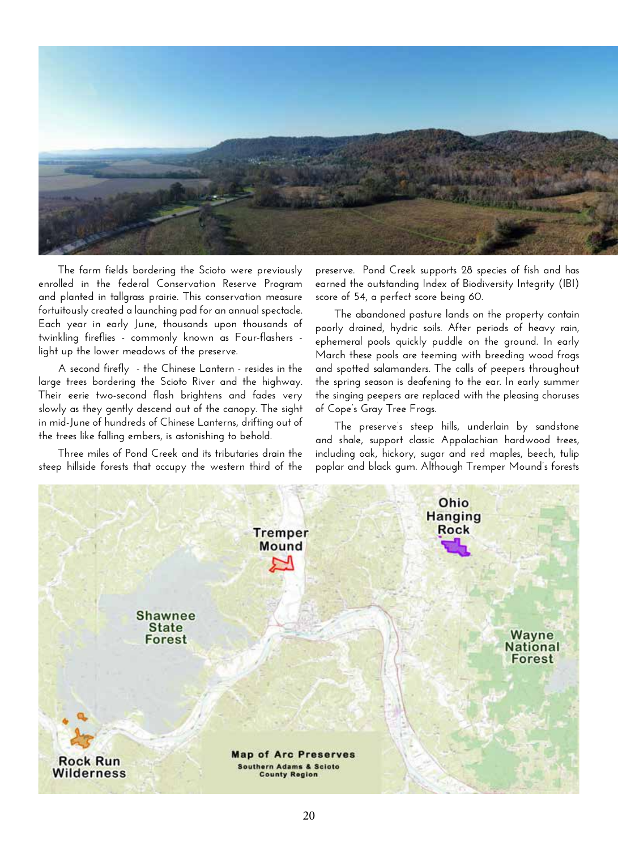

**The farm fields bordering the Scioto were previously enrolled in the federal Conservation Reserve Program and planted in tallgrass prairie. This conservation measure fortuitously created a launching pad for an annual spectacle. Each year in early June, thousands upon thousands of twinkling fireflies - commonly known as Four-flashers light up the lower meadows of the preserve.** 

**A second firefly - the Chinese Lantern - resides in the large trees bordering the Scioto River and the highway. Their eerie two-second flash brightens and fades very slowly as they gently descend out of the canopy. The sight in mid-June of hundreds of Chinese Lanterns, drifting out of the trees like falling embers, is astonishing to behold.** 

**Three miles of Pond Creek and its tributaries drain the steep hillside forests that occupy the western third of the**  **preserve. Pond Creek supports 28 species of fish and has earned the outstanding Index of Biodiversity Integrity (IBI) score of 54, a perfect score being 60.** 

**The abandoned pasture lands on the property contain poorly drained, hydric soils. After periods of heavy rain, ephemeral pools quickly puddle on the ground. In early March these pools are teeming with breeding wood frogs and spotted salamanders. The calls of peepers throughout the spring season is deafening to the ear. In early summer the singing peepers are replaced with the pleasing choruses of Cope's Gray Tree Frogs.** 

**The preserve's steep hills, underlain by sandstone and shale, support classic Appalachian hardwood trees, including oak, hickory, sugar and red maples, beech, tulip poplar and black gum. Although Tremper Mound's forests**